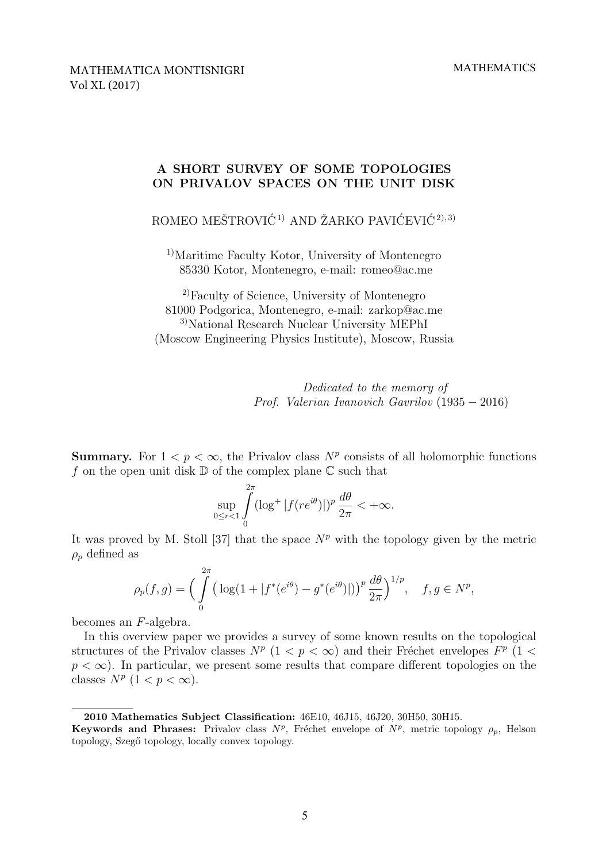# A SHORT SURVEY OF SOME TOPOLOGIES ON PRIVALOV SPACES ON THE UNIT DISK

ROMEO MEŠTROVIĆ<sup>1)</sup> AND ŽARKO PAVIĆEVIĆ<sup>2), 3)</sup>

<sup>1)</sup>Maritime Faculty Kotor, University of Montenegro 85330 Kotor, Montenegro, e-mail: romeo@ac.me

2)Faculty of Science, University of Montenegro 81000 Podgorica, Montenegro, e-mail: zarkop@ac.me 3)National Research Nuclear University MEPhI (Moscow Engineering Physics Institute), Moscow, Russia

> Dedicated to the memory of Prof. Valerian Ivanovich Gavrilov (1935 − 2016)

**Summary.** For  $1 < p < \infty$ , the Privalov class  $N^p$  consists of all holomorphic functions f on the open unit disk  $\mathbb D$  of the complex plane  $\mathbb C$  such that

$$
\sup_{0\leq r<1}\int\limits_{0}^{2\pi}(\log^{+}|f(re^{i\theta})|)^{p}\,\frac{d\theta}{2\pi}<+\infty.
$$

It was proved by M. Stoll [37] that the space  $N^p$  with the topology given by the metric  $\rho_p$  defined as

$$
\rho_p(f,g) = \Big(\int_{0}^{2\pi} \big(\log(1+|f^*(e^{i\theta}) - g^*(e^{i\theta})|)\big)^p \frac{d\theta}{2\pi}\Big)^{1/p}, \quad f, g \in N^p,
$$

becomes an F-algebra.

In this overview paper we provides a survey of some known results on the topological structures of the Privalov classes  $N^p$   $(1 < p < \infty)$  and their Fréchet envelopes  $F^p$   $(1 <$  $p < \infty$ ). In particular, we present some results that compare different topologies on the classes  $N^p$   $(1 < p < \infty)$ .

<sup>2010</sup> Mathematics Subject Classification: 46E10, 46J15, 46J20, 30H50, 30H15.

**Keywords and Phrases:** Privalov class  $N^p$ , Fréchet envelope of  $N^p$ , metric topology  $\rho_p$ , Helson topology, Szegő topology, locally convex topology.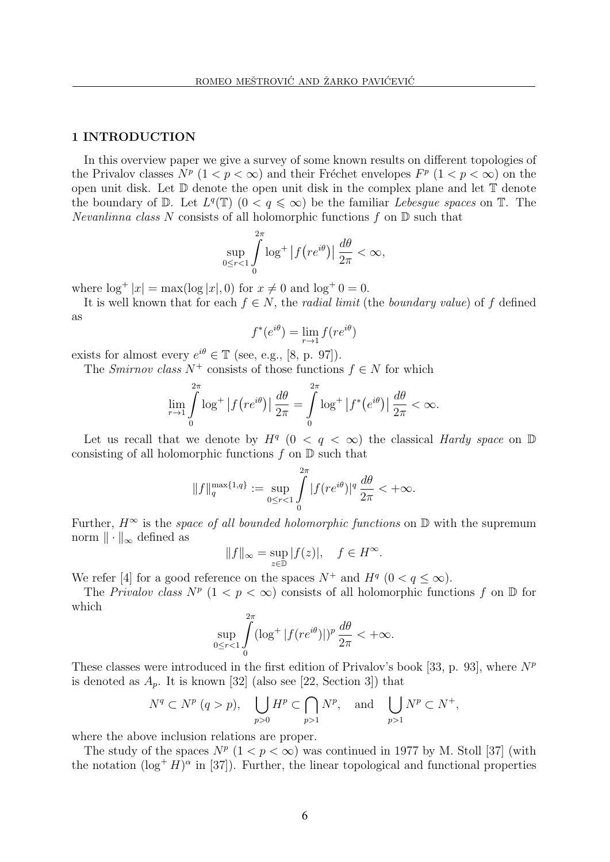### 1 INTRODUCTION

In this overview paper we give a survey of some known results on different topologies of the Privalov classes  $N^p$   $(1 < p < \infty)$  and their Fréchet envelopes  $F^p$   $(1 < p < \infty)$  on the open unit disk. Let  $\mathbb D$  denote the open unit disk in the complex plane and let  $\mathbb T$  denote the boundary of  $\mathbb D$ . Let  $L^q(\mathbb{T})$   $(0 \lt q \leq \infty)$  be the familiar Lebesgue spaces on  $\mathbb T$ . The *Nevanlinna class N* consists of all holomorphic functions  $f$  on  $D$  such that

$$
\sup_{0\leq r<1}\int_{0}^{2\pi}\log^{+}|f(re^{i\theta})|\,\frac{d\theta}{2\pi}<\infty,
$$

where  $\log^+ |x| = \max(\log |x|, 0)$  for  $x \neq 0$  and  $\log^+ 0 = 0$ .

It is well known that for each  $f \in N$ , the *radial limit* (the *boundary value*) of f defined as

$$
f^*(e^{i\theta}) = \lim_{r \to 1} f(re^{i\theta})
$$

exists for almost every  $e^{i\theta} \in \mathbb{T}$  (see, e.g., [8, p. 97]).

The Smirnov class  $N^+$  consists of those functions  $f \in N$  for which

$$
\lim_{r \to 1} \int_{0}^{2\pi} \log^{+} |f(re^{i\theta})| \frac{d\theta}{2\pi} = \int_{0}^{2\pi} \log^{+} |f^{*}(e^{i\theta})| \frac{d\theta}{2\pi} < \infty.
$$

Let us recall that we denote by  $H^q$   $(0 \lt q \lt \infty)$  the classical Hardy space on  $\mathbb D$ consisting of all holomorphic functions  $f$  on  $D$  such that

$$
||f||_q^{\max\{1,q\}} := \sup_{0 \le r < 1} \int_0^{2\pi} |f(re^{i\theta})|^q \, \frac{d\theta}{2\pi} < +\infty.
$$

Further,  $H^{\infty}$  is the *space of all bounded holomorphic functions* on  $\mathbb{D}$  with the supremum norm  $\|\cdot\|_{\infty}$  defined as

$$
||f||_{\infty} = \sup_{z \in \mathbb{D}} |f(z)|, \quad f \in H^{\infty}.
$$

We refer [4] for a good reference on the spaces  $N^+$  and  $H^q$   $(0 < q \le \infty)$ .

The Privalov class  $N^p$   $(1 < p < \infty)$  consists of all holomorphic functions f on D for which

$$
\sup_{0\leq r<1}\int_{0}^{2\pi}(\log^{+}|f(re^{i\theta})|)^{p}\frac{d\theta}{2\pi}<+\infty.
$$

These classes were introduced in the first edition of Privalov's book [33, p. 93], where  $N^p$ is denoted as  $A_p$ . It is known [32] (also see [22, Section 3]) that

$$
N^q \subset N^p \ (q > p),
$$
  $\bigcup_{p>0} H^p \subset \bigcap_{p>1} N^p$ , and  $\bigcup_{p>1} N^p \subset N^+$ ,

where the above inclusion relations are proper.

The study of the spaces  $N^p$   $(1 < p < \infty)$  was continued in 1977 by M. Stoll [37] (with the notation  $(\log^+ H)^\alpha$  in [37]). Further, the linear topological and functional properties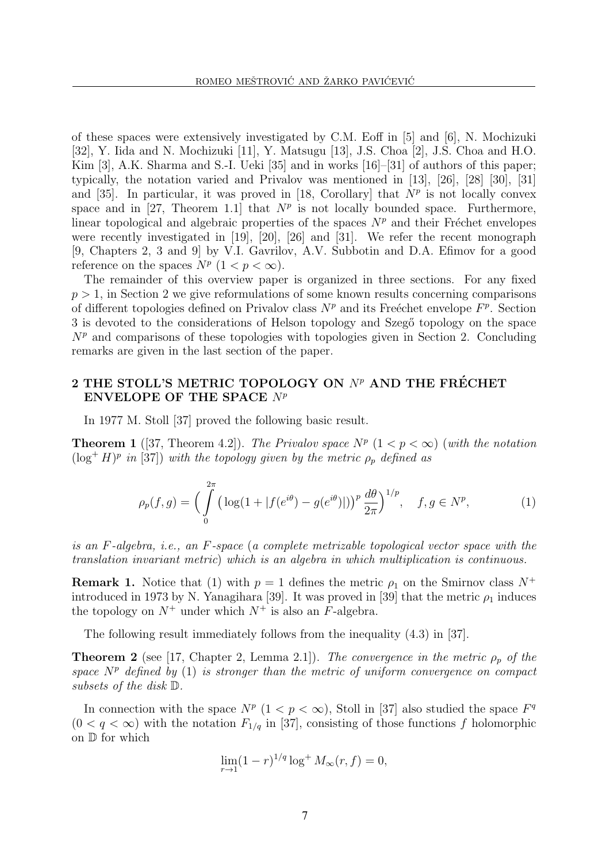of these spaces were extensively investigated by C.M. Eoff in  $[5]$  and  $[6]$ , N. Mochizuki [32], Y. Iida and N. Mochizuki [11], Y. Matsugu [13], J.S. Choa [2], J.S. Choa and H.O. Kim [3], A.K. Sharma and S.-I. Ueki [35] and in works [16]–[31] of authors of this paper; typically, the notation varied and Privalov was mentioned in [13], [26], [28] [30], [31] and [35]. In particular, it was proved in [18, Corollary] that  $N^p$  is not locally convex space and in [27, Theorem 1.1] that  $N^p$  is not locally bounded space. Furthermore, linear topological and algebraic properties of the spaces  $N^p$  and their Fréchet envelopes were recently investigated in [19], [20], [26] and [31]. We refer the recent monograph [9, Chapters 2, 3 and 9] by V.I. Gavrilov, A.V. Subbotin and D.A. Efimov for a good reference on the spaces  $N^p$   $(1 < p < \infty)$ .

The remainder of this overview paper is organized in three sections. For any fixed  $p > 1$ , in Section 2 we give reformulations of some known results concerning comparisons of different topologies defined on Privalov class  $N^p$  and its Freéchet envelope  $F^p$ . Section 3 is devoted to the considerations of Helson topology and Szegő topology on the space  $N<sup>p</sup>$  and comparisons of these topologies with topologies given in Section 2. Concluding remarks are given in the last section of the paper.

# 2 THE STOLL'S METRIC TOPOLOGY ON  $N^p$  AND THE FRÉCHET ENVELOPE OF THE SPACE  $N^p$

In 1977 M. Stoll [37] proved the following basic result.

**Theorem 1** ([37, Theorem 4.2]). The Privalov space  $N^p$  ( $1 < p < \infty$ ) (with the notation  $(\log^+ H)^p$  in [37]) with the topology given by the metric  $\rho_p$  defined as

$$
\rho_p(f,g) = \Big(\int_0^{2\pi} \big(\log(1+|f(e^{i\theta}) - g(e^{i\theta})|)\big)^p \frac{d\theta}{2\pi}\Big)^{1/p}, \quad f, g \in N^p,
$$
 (1)

is an F-algebra, i.e., an F-space (a complete metrizable topological vector space with the translation invariant metric) which is an algebra in which multiplication is continuous.

**Remark 1.** Notice that (1) with  $p = 1$  defines the metric  $\rho_1$  on the Smirnov class  $N^+$ introduced in 1973 by N. Yanagihara [39]. It was proved in [39] that the metric  $\rho_1$  induces the topology on  $N^+$  under which  $N^+$  is also an F-algebra.

The following result immediately follows from the inequality (4.3) in [37].

**Theorem 2** (see [17, Chapter 2, Lemma 2.1]). The convergence in the metric  $\rho_p$  of the space  $N^p$  defined by (1) is stronger than the metric of uniform convergence on compact subsets of the disk D.

In connection with the space  $N^p$   $(1 < p < \infty)$ , Stoll in [37] also studied the space  $F^q$  $(0 < q < \infty)$  with the notation  $F_{1/q}$  in [37], consisting of those functions f holomorphic on D for which

$$
\lim_{r \to 1} (1 - r)^{1/q} \log^+ M_\infty(r, f) = 0,
$$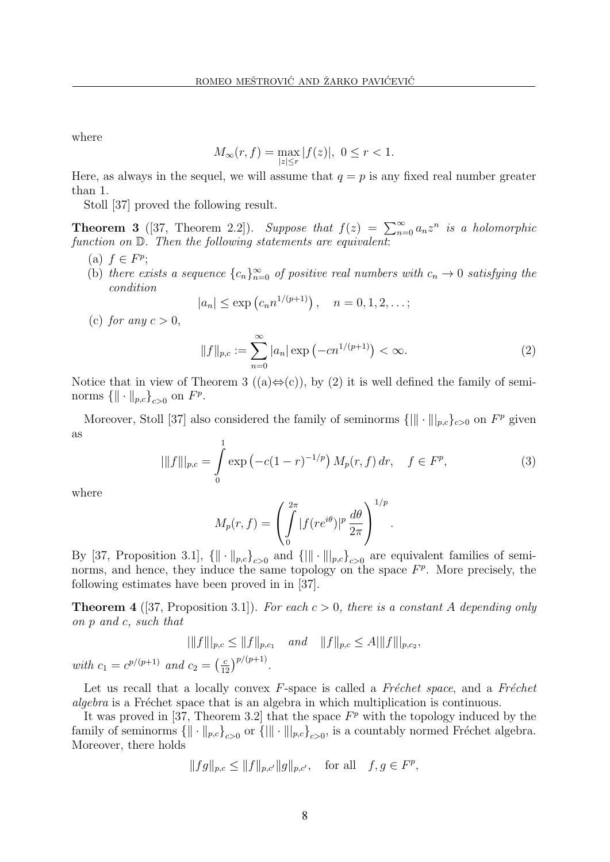where

$$
M_{\infty}(r, f) = \max_{|z| \le r} |f(z)|, \ 0 \le r < 1.
$$

Here, as always in the sequel, we will assume that  $q = p$  is any fixed real number greater than 1.

Stoll [37] proved the following result.

**Theorem 3** ([37, Theorem 2.2]). Suppose that  $f(z) = \sum_{n=0}^{\infty} a_n z^n$  is a holomorphic function on  $\mathbb{D}$ . Then the following statements are equivalent:

- (a)  $f \in F^p$ ;
- (b) there exists a sequence  ${c_n}_{n=0}^{\infty}$  of positive real numbers with  $c_n \to 0$  satisfying the condition

$$
|a_n| \le \exp(c_n n^{1/(p+1)}), \quad n = 0, 1, 2, ...;
$$

(c) for any  $c > 0$ ,

$$
||f||_{p,c} := \sum_{n=0}^{\infty} |a_n| \exp(-cn^{1/(p+1)}) < \infty.
$$
 (2)

Notice that in view of Theorem 3 ((a) $\Leftrightarrow$ (c)), by (2) it is well defined the family of seminorms  $\{\|\cdot\|_{p,c}\}_{c>0}$  on  $F^p$ .

Moreover, Stoll [37] also considered the family of seminorms  $\{\|\cdot\|\_{p,c}\}_{c>0}$  on  $F^p$  given as

$$
|\|f\||_{p,c} = \int_{0}^{1} \exp\left(-c(1-r)^{-1/p}\right) M_p(r,f) \, dr, \quad f \in F^p,\tag{3}
$$

where

$$
M_p(r, f) = \left(\int_0^{2\pi} |f(re^{i\theta})|^p \frac{d\theta}{2\pi}\right)^{1/p}.
$$

By [37, Proposition 3.1],  $\{\|\cdot\|_{p,c}\}_{c>0}$  and  $\{\|\cdot\|\_{p,c}\}_{c>0}$  are equivalent families of seminorms, and hence, they induce the same topology on the space  $F<sup>p</sup>$ . More precisely, the following estimates have been proved in in [37].

**Theorem 4** ([37, Proposition 3.1]). For each  $c > 0$ , there is a constant A depending only on p and c, such that

$$
|||f|||_{p,c} \le ||f||_{p,c_1} \quad and \quad ||f||_{p,c} \le A|||f||_{p,c_2},
$$
  
with  $c_1 = c^{p/(p+1)}$  and  $c_2 = \left(\frac{c}{12}\right)^{p/(p+1)}$ .

Let us recall that a locally convex  $F$ -space is called a Fr $\acute{e}$ chet space, and a Fr $\acute{e}$ chet algebra is a Fréchet space that is an algebra in which multiplication is continuous.

It was proved in [37, Theorem 3.2] that the space  $F<sup>p</sup>$  with the topology induced by the family of seminorms  $\{\|\cdot\|_{p,c}\}_{c>0}$  or  $\{\|\cdot\|\|_{p,c}\}_{c>0}$ , is a countably normed Fréchet algebra. Moreover, there holds

$$
||fg||_{p,c} \le ||f||_{p,c'}||g||_{p,c'},
$$
 for all  $f, g \in F^p$ ,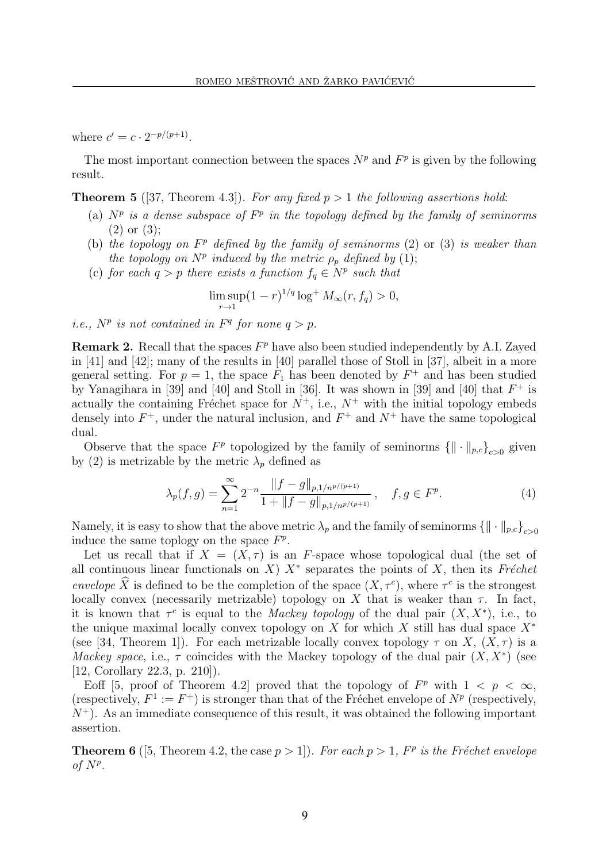where  $c' = c \cdot 2^{-p/(p+1)}$ .

The most important connection between the spaces  $N^p$  and  $F^p$  is given by the following result.

**Theorem 5** ([37, Theorem 4.3]). For any fixed  $p > 1$  the following assertions hold:

- (a)  $N^p$  is a dense subspace of  $F^p$  in the topology defined by the family of seminorms (2) or (3);
- (b) the topology on  $F<sup>p</sup>$  defined by the family of seminorms (2) or (3) is weaker than the topology on  $N^p$  induced by the metric  $\rho_p$  defined by (1);
- (c) for each  $q > p$  there exists a function  $f_q \in N^p$  such that

$$
\limsup_{r \to 1} (1-r)^{1/q} \log^+ M_\infty(r, f_q) > 0,
$$

*i.e.*,  $N^p$  *is not contained in*  $F^q$  *for none*  $q > p$ *.* 

**Remark 2.** Recall that the spaces  $F<sup>p</sup>$  have also been studied independently by A.I. Zayed in [41] and [42]; many of the results in [40] parallel those of Stoll in [37], albeit in a more general setting. For  $p = 1$ , the space  $F_1$  has been denoted by  $F^+$  and has been studied by Yanagihara in [39] and [40] and Stoll in [36]. It was shown in [39] and [40] that  $F^+$  is actually the containing Fréchet space for  $N^+$ , i.e.,  $N^+$  with the initial topology embeds densely into  $F^+$ , under the natural inclusion, and  $F^+$  and  $N^+$  have the same topological dual.

Observe that the space  $F^p$  topologized by the family of seminorms  $\{\|\cdot\|_{p,c}\}_{c>0}$  given by (2) is metrizable by the metric  $\lambda_p$  defined as

$$
\lambda_p(f,g) = \sum_{n=1}^{\infty} 2^{-n} \frac{\|f-g\|_{p,1/n^{p/(p+1)}}}{1 + \|f-g\|_{p,1/n^{p/(p+1)}}}, \quad f, g \in F^p. \tag{4}
$$

Namely, it is easy to show that the above metric  $\lambda_p$  and the family of seminorms  $\{\|\cdot\|_{p,c}\}_{c>0}$ induce the same toplogy on the space  $F^p$ .

Let us recall that if  $X = (X, \tau)$  is an F-space whose topological dual (the set of all continuous linear functionals on X)  $X^*$  separates the points of X, then its Fréchet envelope  $\hat{X}$  is defined to be the completion of the space  $(X, \tau^c)$ , where  $\tau^c$  is the strongest locally convex (necessarily metrizable) topology on X that is weaker than  $\tau$ . In fact, it is known that  $\tau^c$  is equal to the *Mackey topology* of the dual pair  $(X, X^*)$ , i.e., to the unique maximal locally convex topology on X for which X still has dual space  $X^*$ (see [34, Theorem 1]). For each metrizable locally convex topology  $\tau$  on X,  $(X, \tau)$  is a Mackey space, i.e.,  $\tau$  coincides with the Mackey topology of the dual pair  $(X, X^*)$  (see [12, Corollary 22.3, p. 210]).

Eoff [5, proof of Theorem 4.2] proved that the topology of  $F<sup>p</sup>$  with  $1 < p < \infty$ , (respectively,  $F^1 := F^+$ ) is stronger than that of the Fréchet envelope of  $N^p$  (respectively,  $N^+$ ). As an immediate consequence of this result, it was obtained the following important assertion.

**Theorem 6** ([5, Theorem 4.2, the case  $p > 1$ ]). For each  $p > 1$ ,  $F<sup>p</sup>$  is the Fréchet envelope of  $N^p$ .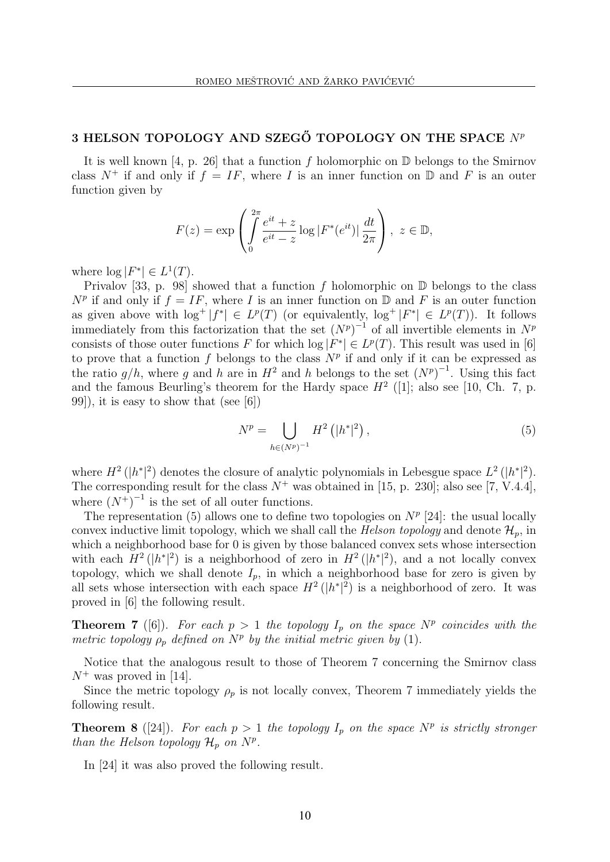## 3 HELSON TOPOLOGY AND SZEGŐ TOPOLOGY ON THE SPACE  $N^p$

It is well known [4, p. 26] that a function f holomorphic on  $\mathbb D$  belongs to the Smirnov class  $N^+$  if and only if  $f = IF$ , where I is an inner function on  $\mathbb D$  and F is an outer function given by

$$
F(z) = \exp\left(\int\limits_0^{2\pi} \frac{e^{it} + z}{e^{it} - z} \log|F^*(e^{it})| \frac{dt}{2\pi}\right), \ z \in \mathbb{D},
$$

where  $\log |F^*| \in L^1(T)$ .

Privalov [33, p. 98] showed that a function f holomorphic on  $\mathbb D$  belongs to the class  $N^p$  if and only if  $f = IF$ , where I is an inner function on D and F is an outer function as given above with  $\log^+ |f^*| \in L^p(T)$  (or equivalently,  $\log^+ |F^*| \in L^p(T)$ ). It follows immediately from this factorization that the set  $(N^p)^{-1}$  of all invertible elements in  $N^p$ consists of those outer functions F for which  $\log |F^*| \in L^p(T)$ . This result was used in [6] to prove that a function f belongs to the class  $N^p$  if and only if it can be expressed as the ratio  $g/h$ , where g and h are in  $H^2$  and h belongs to the set  $(N^p)^{-1}$ . Using this fact and the famous Beurling's theorem for the Hardy space  $H^2$  ([1]; also see [10, Ch. 7, p. 99]), it is easy to show that (see [6])

$$
N^{p} = \bigcup_{h \in (N^{p})^{-1}} H^{2} \left( |h^{*}|^{2} \right), \tag{5}
$$

where  $H^2(|h^*|^2)$  denotes the closure of analytic polynomials in Lebesgue space  $L^2(|h^*|^2)$ . The corresponding result for the class  $N^+$  was obtained in [15, p. 230]; also see [7, V.4.4], where  $(N^+)^{-1}$  is the set of all outer functions.

The representation (5) allows one to define two topologies on  $N^p$  [24]: the usual locally convex inductive limit topology, which we shall call the *Helson topology* and denote  $\mathcal{H}_p$ , in which a neighborhood base for 0 is given by those balanced convex sets whose intersection with each  $H^2(|h^*|^2)$  is a neighborhood of zero in  $H^2(|h^*|^2)$ , and a not locally convex topology, which we shall denote  $I_p$ , in which a neighborhood base for zero is given by all sets whose intersection with each space  $H^2(|h^*|^2)$  is a neighborhood of zero. It was proved in [6] the following result.

**Theorem 7** ([6]). For each  $p > 1$  the topology  $I_p$  on the space  $N^p$  coincides with the metric topology  $\rho_p$  defined on  $N^p$  by the initial metric given by (1).

Notice that the analogous result to those of Theorem 7 concerning the Smirnov class  $N^+$  was proved in [14].

Since the metric topology  $\rho_p$  is not locally convex, Theorem 7 immediately yields the following result.

**Theorem 8** ([24]). For each  $p > 1$  the topology  $I_p$  on the space  $N^p$  is strictly stronger than the Helson topology  $\mathcal{H}_p$  on  $N^p$ .

In [24] it was also proved the following result.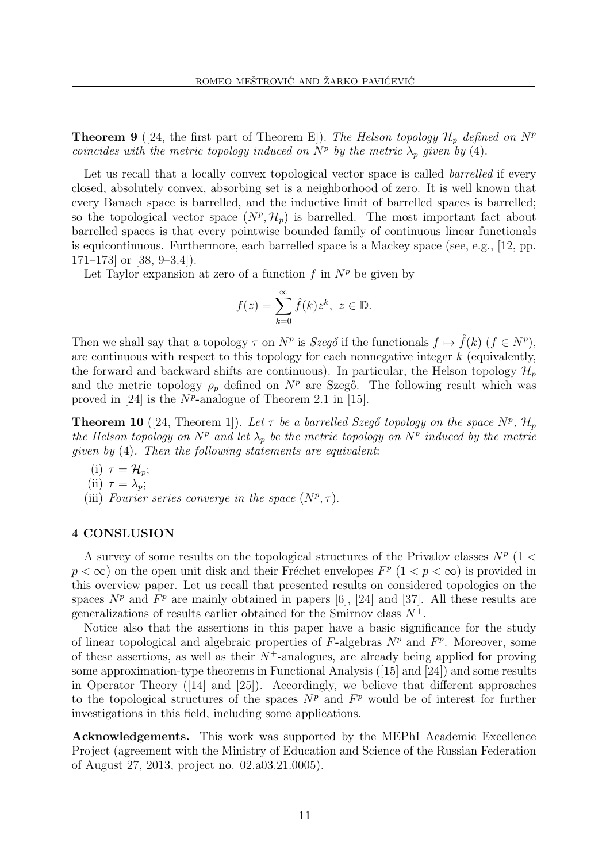**Theorem 9** (24, the first part of Theorem E)). The Helson topology  $\mathcal{H}_p$  defined on  $N^p$ coincides with the metric topology induced on  $N^p$  by the metric  $\lambda_p$  given by (4).

Let us recall that a locally convex topological vector space is called *barrelled* if every closed, absolutely convex, absorbing set is a neighborhood of zero. It is well known that every Banach space is barrelled, and the inductive limit of barrelled spaces is barrelled; so the topological vector space  $(N^p, \mathcal{H}_p)$  is barrelled. The most important fact about barrelled spaces is that every pointwise bounded family of continuous linear functionals is equicontinuous. Furthermore, each barrelled space is a Mackey space (see, e.g., [12, pp.  $171-173$  or [38, 9-3.4]).

Let Taylor expansion at zero of a function f in  $N^p$  be given by

$$
f(z) = \sum_{k=0}^{\infty} \hat{f}(k) z^k, \ z \in \mathbb{D}.
$$

Then we shall say that a topology  $\tau$  on  $N^p$  is Szegő if the functionals  $f \mapsto \hat{f}(k)$   $(f \in N^p)$ , are continuous with respect to this topology for each nonnegative integer  $k$  (equivalently, the forward and backward shifts are continuous). In particular, the Helson topology  $\mathcal{H}_p$ and the metric topology  $\rho_p$  defined on  $N^p$  are Szegő. The following result which was proved in [24] is the  $N^p$ -analogue of Theorem 2.1 in [15].

**Theorem 10** ([24, Theorem 1]). Let  $\tau$  be a barrelled Szegő topology on the space  $N^p$ ,  $\mathcal{H}_p$ the Helson topology on  $N^p$  and let  $\lambda_p$  be the metric topology on  $N^p$  induced by the metric given by (4). Then the following statements are equivalent:

- (i)  $\tau = \mathcal{H}_p$ ;
- (ii)  $\tau = \lambda_p$ ;
- (iii) Fourier series converge in the space  $(N^p, \tau)$ .

## 4 CONSLUSION

A survey of some results on the topological structures of the Privalov classes  $N^p$  (1 <  $p < \infty$ ) on the open unit disk and their Fréchet envelopes  $F^p$   $(1 < p < \infty)$  is provided in this overview paper. Let us recall that presented results on considered topologies on the spaces  $N^p$  and  $F^p$  are mainly obtained in papers [6], [24] and [37]. All these results are generalizations of results earlier obtained for the Smirnov class  $N^+$ .

Notice also that the assertions in this paper have a basic significance for the study of linear topological and algebraic properties of  $F$ -algebras  $N^p$  and  $F^p$ . Moreover, some of these assertions, as well as their  $N^+$ -analogues, are already being applied for proving some approximation-type theorems in Functional Analysis  $(15)$  and  $[24]$ ) and some results in Operator Theory ([14] and [25]). Accordingly, we believe that different approaches to the topological structures of the spaces  $N^p$  and  $F^p$  would be of interest for further investigations in this field, including some applications.

Acknowledgements. This work was supported by the MEPhI Academic Excellence Project (agreement with the Ministry of Education and Science of the Russian Federation of August 27, 2013, project no. 02.a03.21.0005).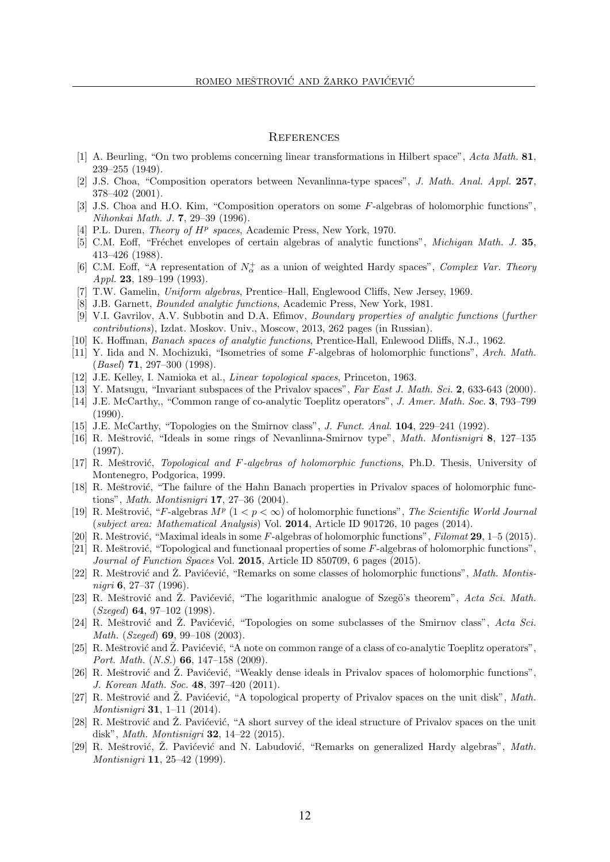#### **REFERENCES**

- [1] A. Beurling, "On two problems concerning linear transformations in Hilbert space", Acta Math. 81, 239–255 (1949).
- [2] J.S. Choa, "Composition operators between Nevanlinna-type spaces", J. Math. Anal. Appl. 257, 378–402 (2001).
- [3] J.S. Choa and H.O. Kim, "Composition operators on some F-algebras of holomorphic functions", Nihonkai Math. J. 7, 29–39 (1996).
- [4] P.L. Duren, *Theory of*  $H^p$  *spaces*, Academic Press, New York, 1970.
- [5] C.M. Eoff, "Fréchet envelopes of certain algebras of analytic functions", *Michigan Math. J.* 35, 413–426 (1988).
- [6] C.M. Eoff, "A representation of  $N^+_{\alpha}$  as a union of weighted Hardy spaces", Complex Var. Theory Appl. 23, 189-199 (1993).
- [7] T.W. Gamelin, Uniform algebras, Prentice–Hall, Englewood Cliffs, New Jersey, 1969.
- [8] J.B. Garnett, Bounded analytic functions, Academic Press, New York, 1981.
- [9] V.I. Gavrilov, A.V. Subbotin and D.A. Efimov, Boundary properties of analytic functions (further contributions), Izdat. Moskov. Univ., Moscow, 2013, 262 pages (in Russian).
- [10] K. Hoffman, Banach spaces of analytic functions, Prentice-Hall, Enlewood Dliffs, N.J., 1962.
- [11] Y. Iida and N. Mochizuki, "Isometries of some F-algebras of holomorphic functions", Arch. Math. (Basel) 71, 297–300 (1998).
- [12] J.E. Kelley, I. Namioka et al., Linear topological spaces, Princeton, 1963.
- [13] Y. Matsugu, "Invariant subspaces of the Privalov spaces", Far East J. Math. Sci. 2, 633-643 (2000).
- [14] J.E. McCarthy,, "Common range of co-analytic Toeplitz operators", J. Amer. Math. Soc. 3, 793–799 (1990).
- [15] J.E. McCarthy, "Topologies on the Smirnov class", J. Funct. Anal. 104, 229–241 (1992).
- [16] R. Meštrović, "Ideals in some rings of Nevanlinna-Smirnov type", *Math. Montisnigri* 8, 127–135 (1997).
- [17] R. Meštrović, *Topological and F-algebras of holomorphic functions*, Ph.D. Thesis, University of Montenegro, Podgorica, 1999.
- [18] R. Meštrović, "The failure of the Hahn Banach properties in Privalov spaces of holomorphic functions", Math. Montisnigri 17, 27–36 (2004).
- [19] R. Meštrović, "F-algebras  $M^p$  ( $1 < p < \infty$ ) of holomorphic functions", The Scientific World Journal (subject area: Mathematical Analysis) Vol. 2014, Article ID 901726, 10 pages (2014).
- [20] R. Meštrović, "Maximal ideals in some F-algebras of holomorphic functions", Filomat 29, 1–5 (2015).
- [21] R. Meštrović, "Topological and functionaal properties of some  $F$ -algebras of holomorphic functions", Journal of Function Spaces Vol. 2015, Article ID 850709, 6 pages (2015).
- [22] R. Meštrović and  $\check{Z}$ . Pavićević, "Remarks on some classes of holomorphic functions", *Math. Montis*nigri 6, 27–37 (1996).
- [23] R. Meštrović and Ž. Pavićević, "The logarithmic analogue of Szegö's theorem", Acta Sci. Math.  $(Szeged)$  64, 97-102 (1998).
- [24] R. Meštrović and Z. Pavićević, "Topologies on some subclasses of the Smirnov class", Acta Sci. Math. (Szeged) 69, 99–108 (2003).
- [25] R. Meštrović and  $\tilde{Z}$ . Pavićević, "A note on common range of a class of co-analytic Toeplitz operators", Port. Math. (N.S.) 66, 147–158 (2009).
- [26] R. Meštrović and  $\tilde{Z}$ . Pavićević, "Weakly dense ideals in Privalov spaces of holomorphic functions", J. Korean Math. Soc. 48, 397–420 (2011).
- [27] R. Meštrović and Z. Pavićević, "A topological property of Privalov spaces on the unit disk",  $Math$ . Montisnigri 31, 1–11 (2014).
- [28] R. Meštrović and Ž. Pavićević, "A short survey of the ideal structure of Privalov spaces on the unit disk", Math. Montisnigri 32, 14–22 (2015).
- [29] R. Meštrović, Ž. Pavićević and N. Labudović, "Remarks on generalized Hardy algebras", Math. Montisnigri 11, 25–42 (1999).